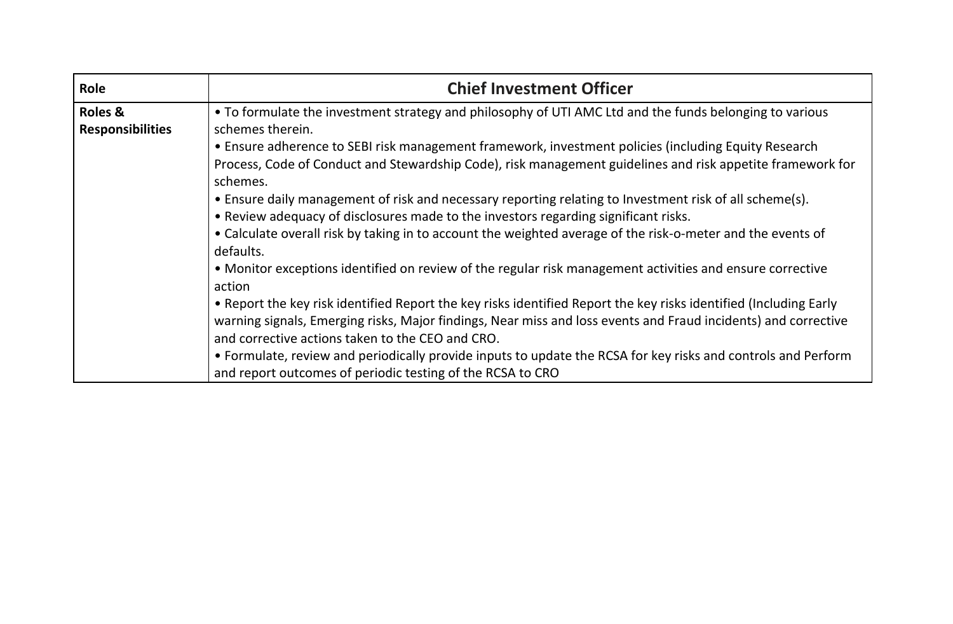| Role                    | <b>Chief Investment Officer</b>                                                                                   |
|-------------------------|-------------------------------------------------------------------------------------------------------------------|
| Roles &                 | • To formulate the investment strategy and philosophy of UTI AMC Ltd and the funds belonging to various           |
| <b>Responsibilities</b> | schemes therein.                                                                                                  |
|                         | • Ensure adherence to SEBI risk management framework, investment policies (including Equity Research              |
|                         | Process, Code of Conduct and Stewardship Code), risk management guidelines and risk appetite framework for        |
|                         | schemes.                                                                                                          |
|                         | • Ensure daily management of risk and necessary reporting relating to Investment risk of all scheme(s).           |
|                         | • Review adequacy of disclosures made to the investors regarding significant risks.                               |
|                         | • Calculate overall risk by taking in to account the weighted average of the risk-o-meter and the events of       |
|                         | defaults.                                                                                                         |
|                         | • Monitor exceptions identified on review of the regular risk management activities and ensure corrective         |
|                         | action                                                                                                            |
|                         | • Report the key risk identified Report the key risks identified Report the key risks identified (Including Early |
|                         | warning signals, Emerging risks, Major findings, Near miss and loss events and Fraud incidents) and corrective    |
|                         | and corrective actions taken to the CEO and CRO.                                                                  |
|                         | • Formulate, review and periodically provide inputs to update the RCSA for key risks and controls and Perform     |
|                         | and report outcomes of periodic testing of the RCSA to CRO                                                        |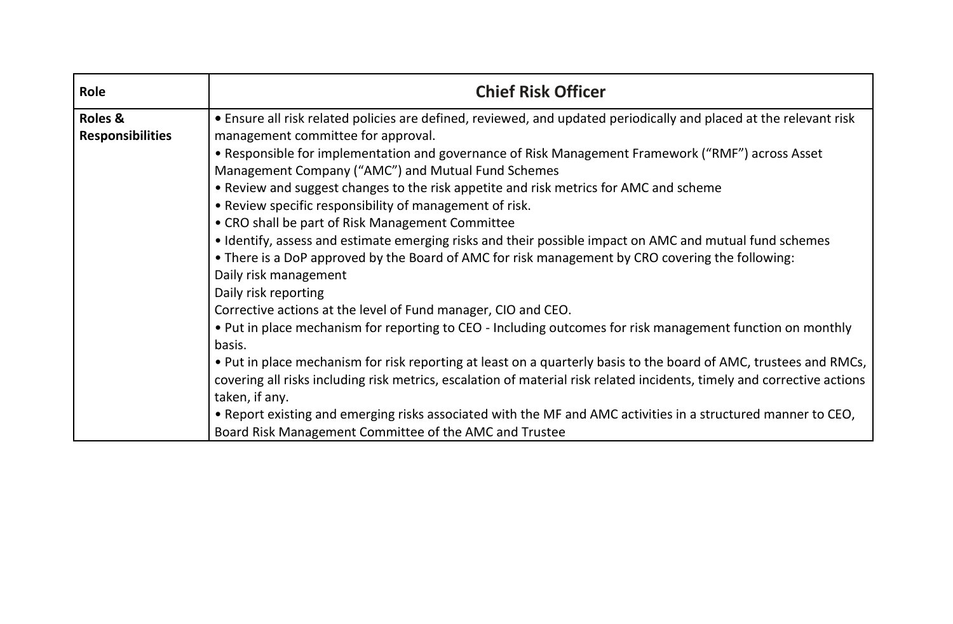| Role                    | <b>Chief Risk Officer</b>                                                                                               |
|-------------------------|-------------------------------------------------------------------------------------------------------------------------|
| <b>Roles &amp;</b>      | • Ensure all risk related policies are defined, reviewed, and updated periodically and placed at the relevant risk      |
| <b>Responsibilities</b> | management committee for approval.                                                                                      |
|                         | • Responsible for implementation and governance of Risk Management Framework ("RMF") across Asset                       |
|                         | Management Company ("AMC") and Mutual Fund Schemes                                                                      |
|                         | • Review and suggest changes to the risk appetite and risk metrics for AMC and scheme                                   |
|                         | • Review specific responsibility of management of risk.                                                                 |
|                         | • CRO shall be part of Risk Management Committee                                                                        |
|                         | • Identify, assess and estimate emerging risks and their possible impact on AMC and mutual fund schemes                 |
|                         | • There is a DoP approved by the Board of AMC for risk management by CRO covering the following:                        |
|                         | Daily risk management                                                                                                   |
|                         | Daily risk reporting                                                                                                    |
|                         | Corrective actions at the level of Fund manager, CIO and CEO.                                                           |
|                         | . Put in place mechanism for reporting to CEO - Including outcomes for risk management function on monthly              |
|                         | basis.                                                                                                                  |
|                         | . Put in place mechanism for risk reporting at least on a quarterly basis to the board of AMC, trustees and RMCs,       |
|                         | covering all risks including risk metrics, escalation of material risk related incidents, timely and corrective actions |
|                         | taken, if any.                                                                                                          |
|                         | . Report existing and emerging risks associated with the MF and AMC activities in a structured manner to CEO,           |
|                         | Board Risk Management Committee of the AMC and Trustee                                                                  |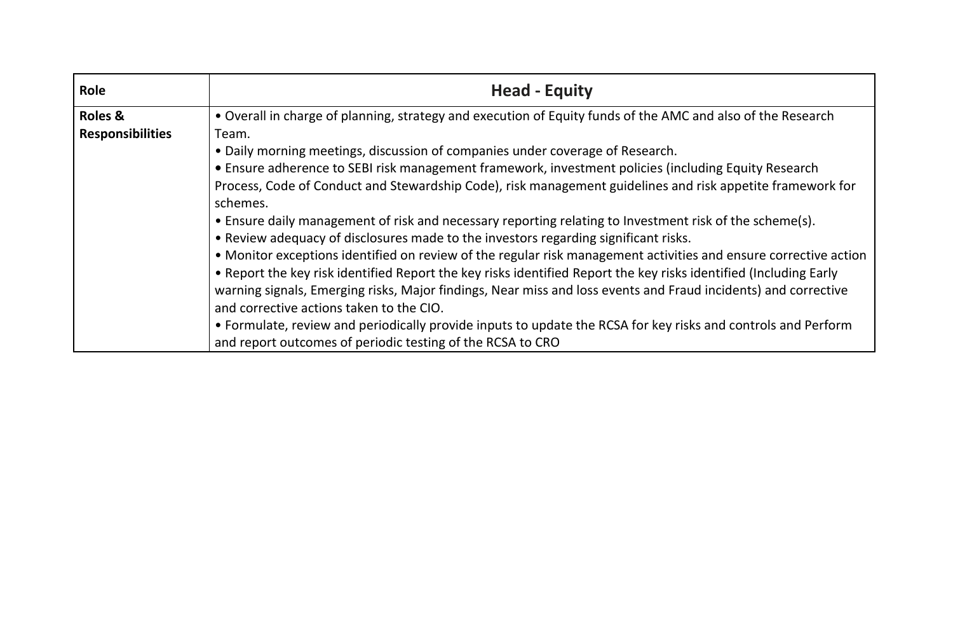| Role                    | <b>Head - Equity</b>                                                                                              |
|-------------------------|-------------------------------------------------------------------------------------------------------------------|
| <b>Roles &amp;</b>      | • Overall in charge of planning, strategy and execution of Equity funds of the AMC and also of the Research       |
| <b>Responsibilities</b> | Team.                                                                                                             |
|                         | • Daily morning meetings, discussion of companies under coverage of Research.                                     |
|                         | • Ensure adherence to SEBI risk management framework, investment policies (including Equity Research              |
|                         | Process, Code of Conduct and Stewardship Code), risk management guidelines and risk appetite framework for        |
|                         | schemes.                                                                                                          |
|                         | • Ensure daily management of risk and necessary reporting relating to Investment risk of the scheme(s).           |
|                         | • Review adequacy of disclosures made to the investors regarding significant risks.                               |
|                         | • Monitor exceptions identified on review of the regular risk management activities and ensure corrective action  |
|                         | • Report the key risk identified Report the key risks identified Report the key risks identified (Including Early |
|                         | warning signals, Emerging risks, Major findings, Near miss and loss events and Fraud incidents) and corrective    |
|                         | and corrective actions taken to the CIO.                                                                          |
|                         | • Formulate, review and periodically provide inputs to update the RCSA for key risks and controls and Perform     |
|                         | and report outcomes of periodic testing of the RCSA to CRO                                                        |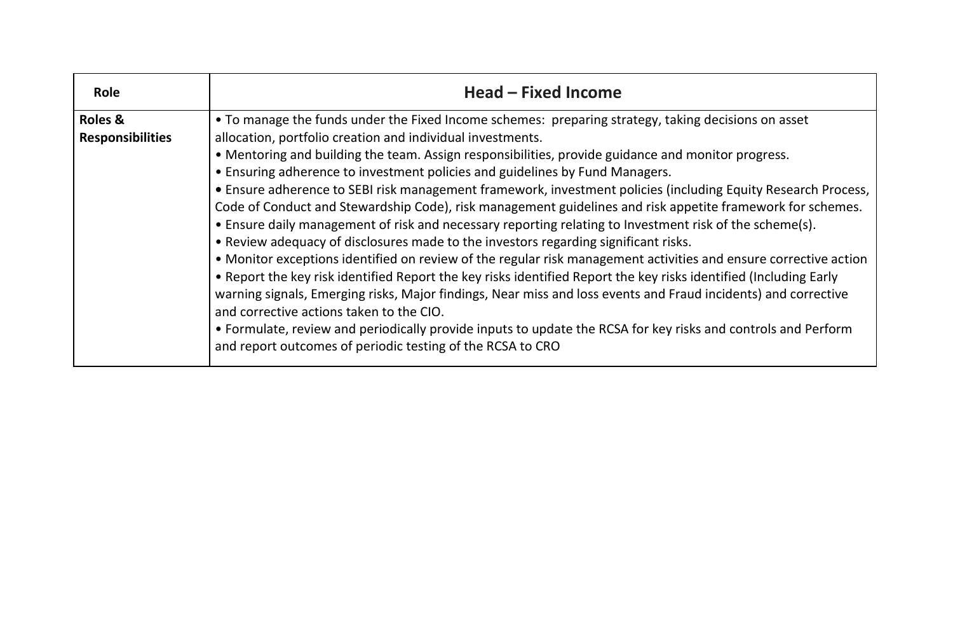| <b>Role</b>                                   | Head – Fixed Income                                                                                                                                                                                                                                                                                                                                                                                                                                                                                                                                                                                                                                                                                                                                                                                                                                                                                                                                                                                                                                                                                                                                                                                                                                                                                                                                                            |
|-----------------------------------------------|--------------------------------------------------------------------------------------------------------------------------------------------------------------------------------------------------------------------------------------------------------------------------------------------------------------------------------------------------------------------------------------------------------------------------------------------------------------------------------------------------------------------------------------------------------------------------------------------------------------------------------------------------------------------------------------------------------------------------------------------------------------------------------------------------------------------------------------------------------------------------------------------------------------------------------------------------------------------------------------------------------------------------------------------------------------------------------------------------------------------------------------------------------------------------------------------------------------------------------------------------------------------------------------------------------------------------------------------------------------------------------|
| <b>Roles &amp;</b><br><b>Responsibilities</b> | • To manage the funds under the Fixed Income schemes: preparing strategy, taking decisions on asset<br>allocation, portfolio creation and individual investments.<br>• Mentoring and building the team. Assign responsibilities, provide guidance and monitor progress.<br>• Ensuring adherence to investment policies and guidelines by Fund Managers.<br>• Ensure adherence to SEBI risk management framework, investment policies (including Equity Research Process,<br>Code of Conduct and Stewardship Code), risk management guidelines and risk appetite framework for schemes.<br>• Ensure daily management of risk and necessary reporting relating to Investment risk of the scheme(s).<br>• Review adequacy of disclosures made to the investors regarding significant risks.<br>• Monitor exceptions identified on review of the regular risk management activities and ensure corrective action<br>• Report the key risk identified Report the key risks identified Report the key risks identified (Including Early<br>warning signals, Emerging risks, Major findings, Near miss and loss events and Fraud incidents) and corrective<br>and corrective actions taken to the CIO.<br>• Formulate, review and periodically provide inputs to update the RCSA for key risks and controls and Perform<br>and report outcomes of periodic testing of the RCSA to CRO |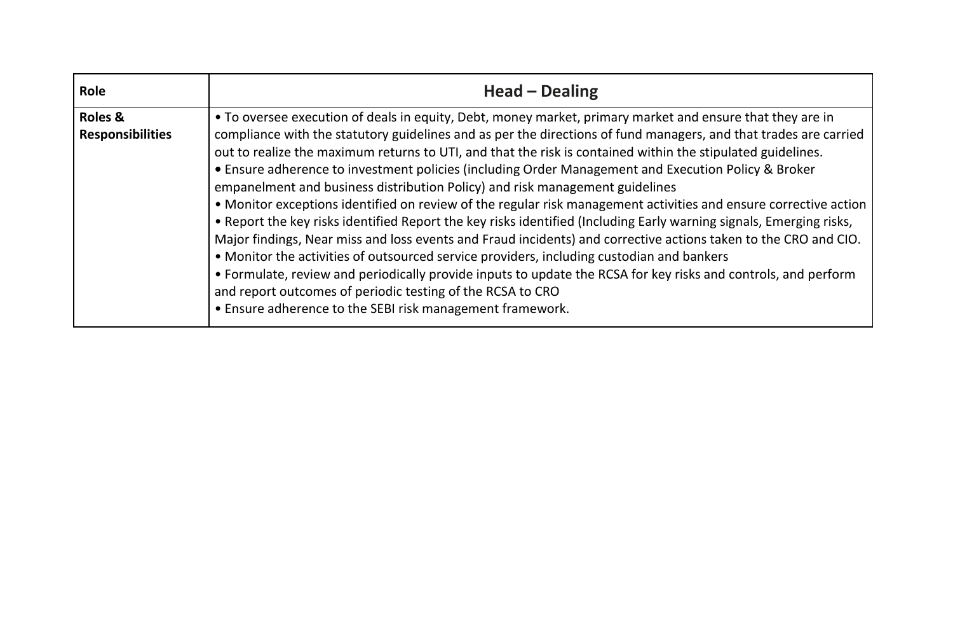| <b>Role</b>                                   | <b>Head – Dealing</b>                                                                                                                                                                                                                                                                                                                                                                                                                                                                                                                                                                                                                                                                                                                                                                                                                                                                                                                                                                                                                                                                                                                                                          |
|-----------------------------------------------|--------------------------------------------------------------------------------------------------------------------------------------------------------------------------------------------------------------------------------------------------------------------------------------------------------------------------------------------------------------------------------------------------------------------------------------------------------------------------------------------------------------------------------------------------------------------------------------------------------------------------------------------------------------------------------------------------------------------------------------------------------------------------------------------------------------------------------------------------------------------------------------------------------------------------------------------------------------------------------------------------------------------------------------------------------------------------------------------------------------------------------------------------------------------------------|
| <b>Roles &amp;</b><br><b>Responsibilities</b> | • To oversee execution of deals in equity, Debt, money market, primary market and ensure that they are in<br>compliance with the statutory guidelines and as per the directions of fund managers, and that trades are carried<br>out to realize the maximum returns to UTI, and that the risk is contained within the stipulated guidelines.<br>• Ensure adherence to investment policies (including Order Management and Execution Policy & Broker<br>empanelment and business distribution Policy) and risk management guidelines<br>• Monitor exceptions identified on review of the regular risk management activities and ensure corrective action<br>• Report the key risks identified Report the key risks identified (Including Early warning signals, Emerging risks,<br>Major findings, Near miss and loss events and Fraud incidents) and corrective actions taken to the CRO and CIO.<br>• Monitor the activities of outsourced service providers, including custodian and bankers<br>• Formulate, review and periodically provide inputs to update the RCSA for key risks and controls, and perform<br>and report outcomes of periodic testing of the RCSA to CRO |
|                                               | • Ensure adherence to the SEBI risk management framework.                                                                                                                                                                                                                                                                                                                                                                                                                                                                                                                                                                                                                                                                                                                                                                                                                                                                                                                                                                                                                                                                                                                      |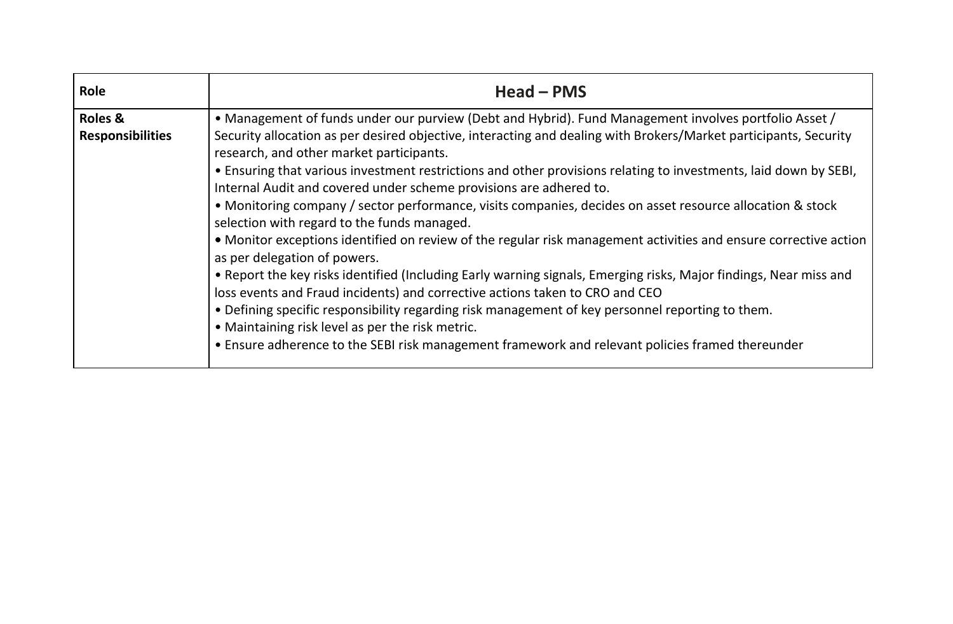| Role                                          | $Head - PMS$                                                                                                                                                                                                                                                                                                                                                                                                                                                                                                                                                                                                                                                                                                                                                                                                                                                                                                                                                                         |
|-----------------------------------------------|--------------------------------------------------------------------------------------------------------------------------------------------------------------------------------------------------------------------------------------------------------------------------------------------------------------------------------------------------------------------------------------------------------------------------------------------------------------------------------------------------------------------------------------------------------------------------------------------------------------------------------------------------------------------------------------------------------------------------------------------------------------------------------------------------------------------------------------------------------------------------------------------------------------------------------------------------------------------------------------|
| <b>Roles &amp;</b><br><b>Responsibilities</b> | • Management of funds under our purview (Debt and Hybrid). Fund Management involves portfolio Asset /<br>Security allocation as per desired objective, interacting and dealing with Brokers/Market participants, Security<br>research, and other market participants.<br>. Ensuring that various investment restrictions and other provisions relating to investments, laid down by SEBI,<br>Internal Audit and covered under scheme provisions are adhered to.<br>• Monitoring company / sector performance, visits companies, decides on asset resource allocation & stock<br>selection with regard to the funds managed.<br>• Monitor exceptions identified on review of the regular risk management activities and ensure corrective action<br>as per delegation of powers.<br>• Report the key risks identified (Including Early warning signals, Emerging risks, Major findings, Near miss and<br>loss events and Fraud incidents) and corrective actions taken to CRO and CEO |
|                                               | . Defining specific responsibility regarding risk management of key personnel reporting to them.<br>• Maintaining risk level as per the risk metric.<br>• Ensure adherence to the SEBI risk management framework and relevant policies framed thereunder                                                                                                                                                                                                                                                                                                                                                                                                                                                                                                                                                                                                                                                                                                                             |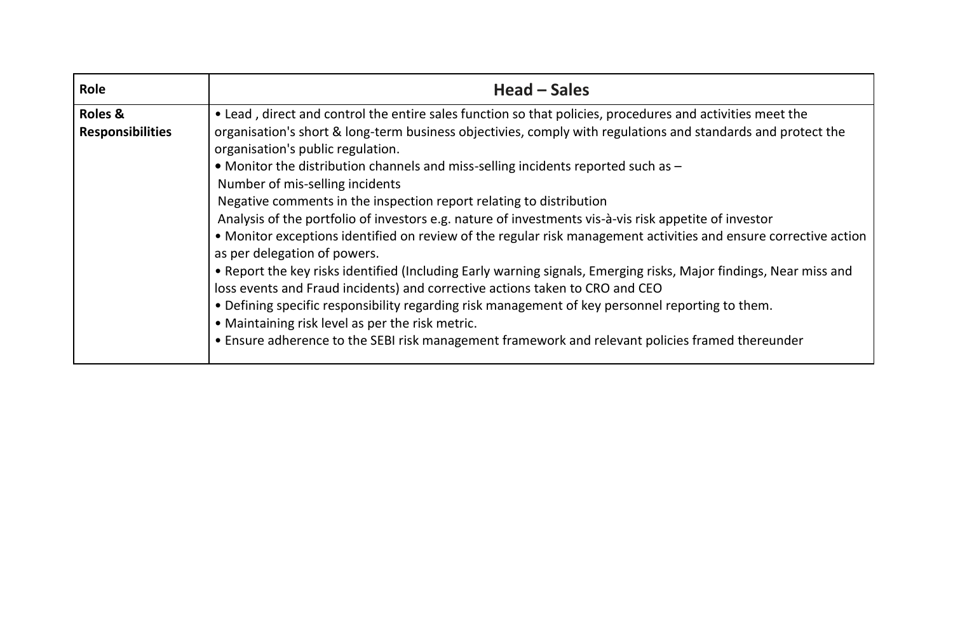| Role                    | Head – Sales                                                                                                                                                                                                                                                                                                                                                                                                                                                                                                                                                                                                                                                                                                                                                                                                                                                                                                           |
|-------------------------|------------------------------------------------------------------------------------------------------------------------------------------------------------------------------------------------------------------------------------------------------------------------------------------------------------------------------------------------------------------------------------------------------------------------------------------------------------------------------------------------------------------------------------------------------------------------------------------------------------------------------------------------------------------------------------------------------------------------------------------------------------------------------------------------------------------------------------------------------------------------------------------------------------------------|
| <b>Roles &amp;</b>      | • Lead, direct and control the entire sales function so that policies, procedures and activities meet the                                                                                                                                                                                                                                                                                                                                                                                                                                                                                                                                                                                                                                                                                                                                                                                                              |
| <b>Responsibilities</b> | organisation's short & long-term business objectivies, comply with regulations and standards and protect the<br>organisation's public regulation.<br>• Monitor the distribution channels and miss-selling incidents reported such as -<br>Number of mis-selling incidents<br>Negative comments in the inspection report relating to distribution<br>Analysis of the portfolio of investors e.g. nature of investments vis-à-vis risk appetite of investor<br>• Monitor exceptions identified on review of the regular risk management activities and ensure corrective action<br>as per delegation of powers.<br>• Report the key risks identified (Including Early warning signals, Emerging risks, Major findings, Near miss and<br>loss events and Fraud incidents) and corrective actions taken to CRO and CEO<br>. Defining specific responsibility regarding risk management of key personnel reporting to them. |
|                         | • Maintaining risk level as per the risk metric.<br>• Ensure adherence to the SEBI risk management framework and relevant policies framed thereunder                                                                                                                                                                                                                                                                                                                                                                                                                                                                                                                                                                                                                                                                                                                                                                   |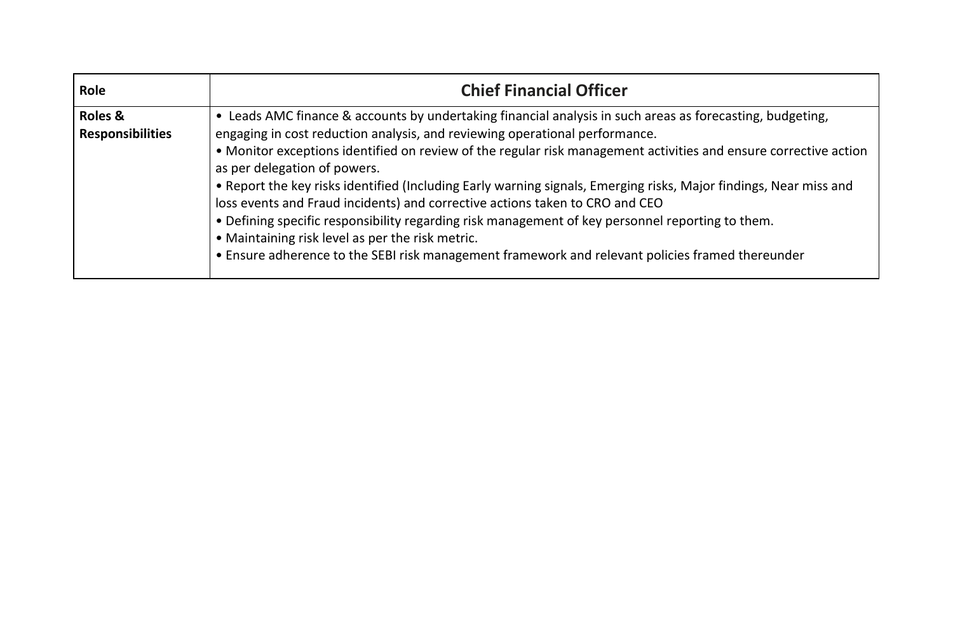| <b>Role</b>                        | <b>Chief Financial Officer</b>                                                                                                                                                                                                                                                                                                                                                                                                                                                                                                                                                                                                                                                                                                                                                                                |
|------------------------------------|---------------------------------------------------------------------------------------------------------------------------------------------------------------------------------------------------------------------------------------------------------------------------------------------------------------------------------------------------------------------------------------------------------------------------------------------------------------------------------------------------------------------------------------------------------------------------------------------------------------------------------------------------------------------------------------------------------------------------------------------------------------------------------------------------------------|
| Roles &<br><b>Responsibilities</b> | • Leads AMC finance & accounts by undertaking financial analysis in such areas as forecasting, budgeting,<br>engaging in cost reduction analysis, and reviewing operational performance.<br>• Monitor exceptions identified on review of the regular risk management activities and ensure corrective action<br>as per delegation of powers.<br>. Report the key risks identified (Including Early warning signals, Emerging risks, Major findings, Near miss and<br>loss events and Fraud incidents) and corrective actions taken to CRO and CEO<br>. Defining specific responsibility regarding risk management of key personnel reporting to them.<br>• Maintaining risk level as per the risk metric.<br>• Ensure adherence to the SEBI risk management framework and relevant policies framed thereunder |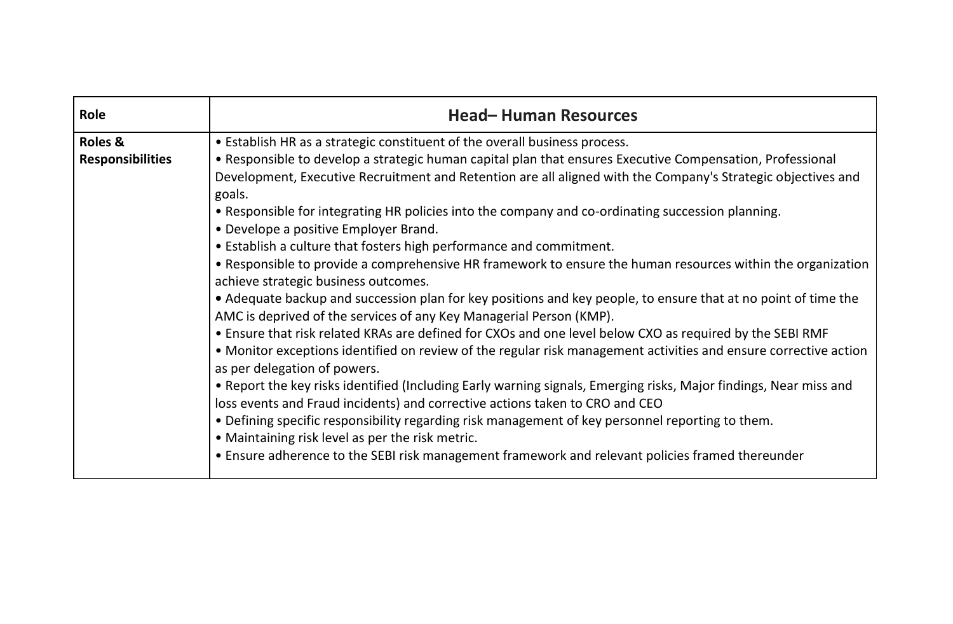| Role                                          | <b>Head-Human Resources</b>                                                                                                                                                                                                                                                                                                                                                                                                                                                                                                                                                                                                                                                                                                                                                                                                                                                                                                                                                                                                                                                                                                                                                                                                                                                                                                                                                                                                                                                                                                                                                                                             |
|-----------------------------------------------|-------------------------------------------------------------------------------------------------------------------------------------------------------------------------------------------------------------------------------------------------------------------------------------------------------------------------------------------------------------------------------------------------------------------------------------------------------------------------------------------------------------------------------------------------------------------------------------------------------------------------------------------------------------------------------------------------------------------------------------------------------------------------------------------------------------------------------------------------------------------------------------------------------------------------------------------------------------------------------------------------------------------------------------------------------------------------------------------------------------------------------------------------------------------------------------------------------------------------------------------------------------------------------------------------------------------------------------------------------------------------------------------------------------------------------------------------------------------------------------------------------------------------------------------------------------------------------------------------------------------------|
| <b>Roles &amp;</b><br><b>Responsibilities</b> | • Establish HR as a strategic constituent of the overall business process.<br>• Responsible to develop a strategic human capital plan that ensures Executive Compensation, Professional<br>Development, Executive Recruitment and Retention are all aligned with the Company's Strategic objectives and<br>goals.<br>• Responsible for integrating HR policies into the company and co-ordinating succession planning.<br>• Develope a positive Employer Brand.<br>• Establish a culture that fosters high performance and commitment.<br>• Responsible to provide a comprehensive HR framework to ensure the human resources within the organization<br>achieve strategic business outcomes.<br>• Adequate backup and succession plan for key positions and key people, to ensure that at no point of time the<br>AMC is deprived of the services of any Key Managerial Person (KMP).<br>. Ensure that risk related KRAs are defined for CXOs and one level below CXO as required by the SEBI RMF<br>• Monitor exceptions identified on review of the regular risk management activities and ensure corrective action<br>as per delegation of powers.<br>• Report the key risks identified (Including Early warning signals, Emerging risks, Major findings, Near miss and<br>loss events and Fraud incidents) and corrective actions taken to CRO and CEO<br>. Defining specific responsibility regarding risk management of key personnel reporting to them.<br>• Maintaining risk level as per the risk metric.<br>• Ensure adherence to the SEBI risk management framework and relevant policies framed thereunder |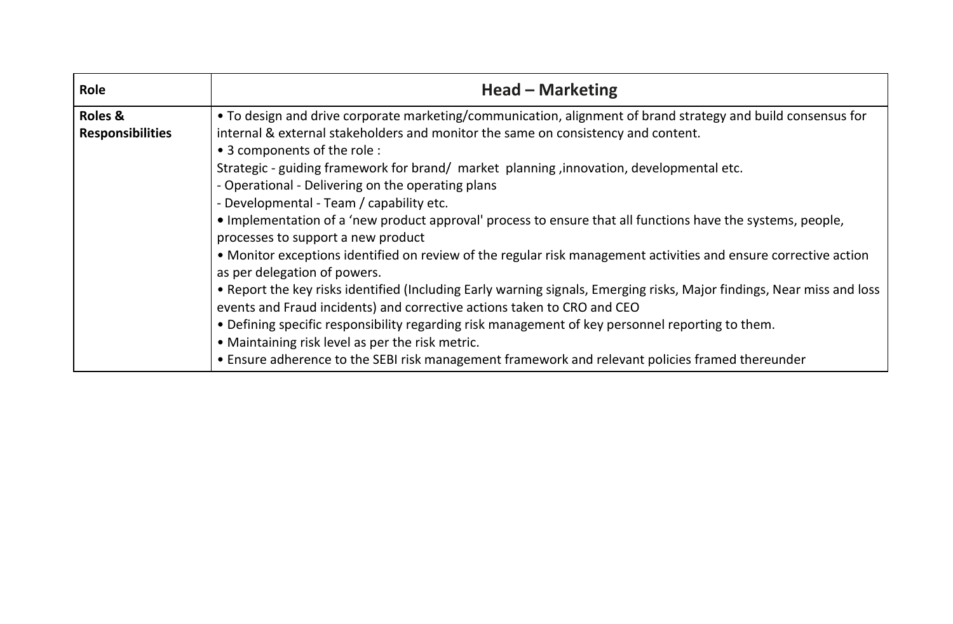| Role                    | <b>Head - Marketing</b>                                                                                                                          |
|-------------------------|--------------------------------------------------------------------------------------------------------------------------------------------------|
| <b>Roles &amp;</b>      | . To design and drive corporate marketing/communication, alignment of brand strategy and build consensus for                                     |
| <b>Responsibilities</b> | internal & external stakeholders and monitor the same on consistency and content.                                                                |
|                         | • 3 components of the role :                                                                                                                     |
|                         | Strategic - guiding framework for brand/ market planning, innovation, developmental etc.                                                         |
|                         | - Operational - Delivering on the operating plans                                                                                                |
|                         | - Developmental - Team / capability etc.                                                                                                         |
|                         | • Implementation of a 'new product approval' process to ensure that all functions have the systems, people,                                      |
|                         | processes to support a new product                                                                                                               |
|                         | • Monitor exceptions identified on review of the regular risk management activities and ensure corrective action<br>as per delegation of powers. |
|                         | . Report the key risks identified (Including Early warning signals, Emerging risks, Major findings, Near miss and loss                           |
|                         | events and Fraud incidents) and corrective actions taken to CRO and CEO                                                                          |
|                         | . Defining specific responsibility regarding risk management of key personnel reporting to them.                                                 |
|                         | • Maintaining risk level as per the risk metric.                                                                                                 |
|                         | • Ensure adherence to the SEBI risk management framework and relevant policies framed thereunder                                                 |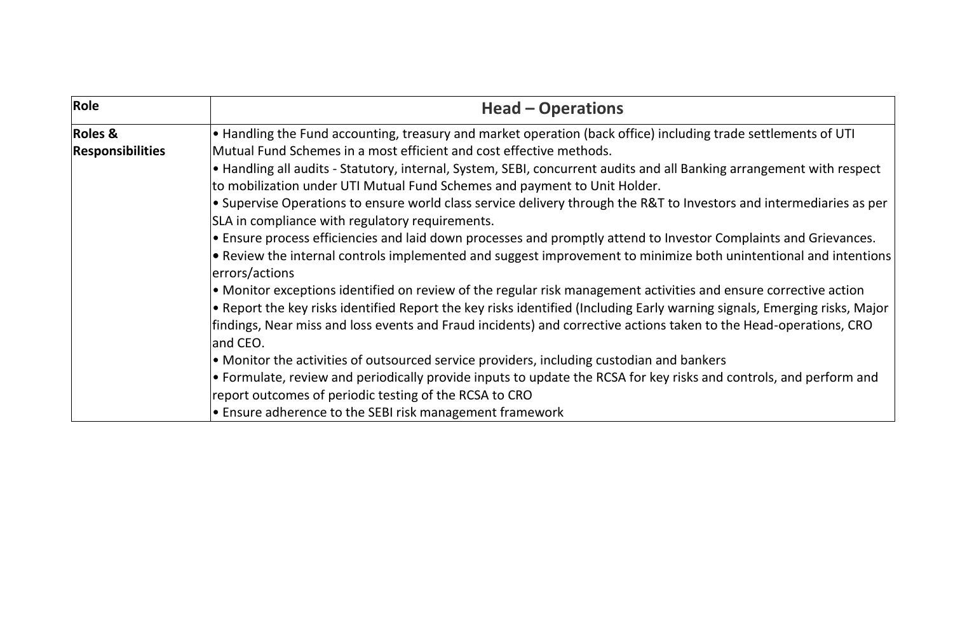| Role                    | <b>Head – Operations</b>                                                                                                                   |
|-------------------------|--------------------------------------------------------------------------------------------------------------------------------------------|
| <b>Roles &amp;</b>      | $\bullet$ Handling the Fund accounting, treasury and market operation (back office) including trade settlements of UTI                     |
| <b>Responsibilities</b> | Mutual Fund Schemes in a most efficient and cost effective methods.                                                                        |
|                         | $\bullet$ Handling all audits - Statutory, internal, System, SEBI, concurrent audits and all Banking arrangement with respect              |
|                         | to mobilization under UTI Mutual Fund Schemes and payment to Unit Holder.                                                                  |
|                         | $\bullet$ Supervise Operations to ensure world class service delivery through the R&T to Investors and intermediaries as per               |
|                         | SLA in compliance with regulatory requirements.                                                                                            |
|                         | • Ensure process efficiencies and laid down processes and promptly attend to Investor Complaints and Grievances.                           |
|                         | $\bullet$ Review the internal controls implemented and suggest improvement to minimize both unintentional and intentions<br>errors/actions |
|                         | $\bullet$ Monitor exceptions identified on review of the regular risk management activities and ensure corrective action                   |
|                         | • Report the key risks identified Report the key risks identified (Including Early warning signals, Emerging risks, Major                  |
|                         | findings, Near miss and loss events and Fraud incidents) and corrective actions taken to the Head-operations, CRO                          |
|                         | and CEO.                                                                                                                                   |
|                         | • Monitor the activities of outsourced service providers, including custodian and bankers                                                  |
|                         | $\bullet$ Formulate, review and periodically provide inputs to update the RCSA for key risks and controls, and perform and                 |
|                         | report outcomes of periodic testing of the RCSA to CRO                                                                                     |
|                         | $\bullet$ Ensure adherence to the SEBI risk management framework                                                                           |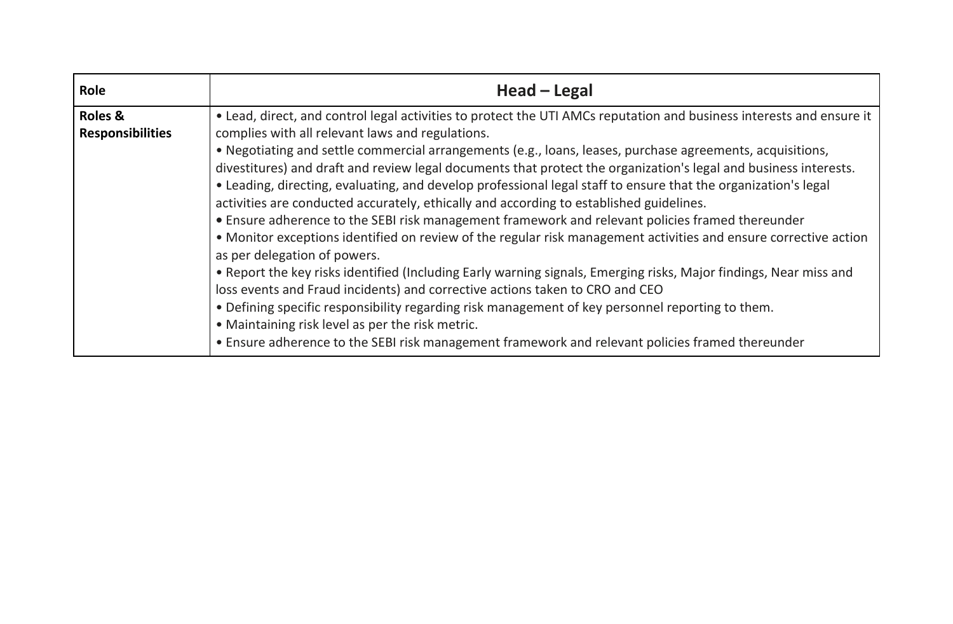| <b>Role</b>                                   | Head - Legal                                                                                                                                                                                                                                                                                                                                                                                                                                                                                                                                                                                                                                                                                                                                                                                                                                                                                                                                                                                                                                                                                                                                                                                                                                                                                                                                    |
|-----------------------------------------------|-------------------------------------------------------------------------------------------------------------------------------------------------------------------------------------------------------------------------------------------------------------------------------------------------------------------------------------------------------------------------------------------------------------------------------------------------------------------------------------------------------------------------------------------------------------------------------------------------------------------------------------------------------------------------------------------------------------------------------------------------------------------------------------------------------------------------------------------------------------------------------------------------------------------------------------------------------------------------------------------------------------------------------------------------------------------------------------------------------------------------------------------------------------------------------------------------------------------------------------------------------------------------------------------------------------------------------------------------|
| <b>Roles &amp;</b><br><b>Responsibilities</b> | • Lead, direct, and control legal activities to protect the UTI AMCs reputation and business interests and ensure it<br>complies with all relevant laws and regulations.<br>. Negotiating and settle commercial arrangements (e.g., loans, leases, purchase agreements, acquisitions,<br>divestitures) and draft and review legal documents that protect the organization's legal and business interests.<br>• Leading, directing, evaluating, and develop professional legal staff to ensure that the organization's legal<br>activities are conducted accurately, ethically and according to established guidelines.<br>• Ensure adherence to the SEBI risk management framework and relevant policies framed thereunder<br>• Monitor exceptions identified on review of the regular risk management activities and ensure corrective action<br>as per delegation of powers.<br>• Report the key risks identified (Including Early warning signals, Emerging risks, Major findings, Near miss and<br>loss events and Fraud incidents) and corrective actions taken to CRO and CEO<br>. Defining specific responsibility regarding risk management of key personnel reporting to them.<br>• Maintaining risk level as per the risk metric.<br>• Ensure adherence to the SEBI risk management framework and relevant policies framed thereunder |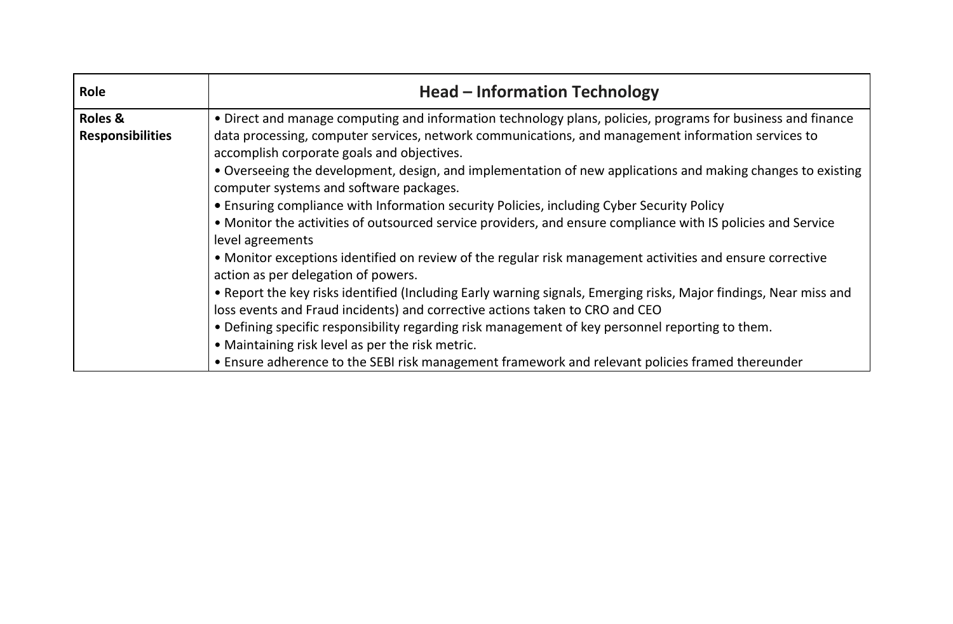| Role                    | <b>Head - Information Technology</b>                                                                                                                   |
|-------------------------|--------------------------------------------------------------------------------------------------------------------------------------------------------|
| <b>Roles &amp;</b>      | • Direct and manage computing and information technology plans, policies, programs for business and finance                                            |
| <b>Responsibilities</b> | data processing, computer services, network communications, and management information services to<br>accomplish corporate goals and objectives.       |
|                         | • Overseeing the development, design, and implementation of new applications and making changes to existing<br>computer systems and software packages. |
|                         | • Ensuring compliance with Information security Policies, including Cyber Security Policy                                                              |
|                         | • Monitor the activities of outsourced service providers, and ensure compliance with IS policies and Service                                           |
|                         | level agreements                                                                                                                                       |
|                         | • Monitor exceptions identified on review of the regular risk management activities and ensure corrective<br>action as per delegation of powers.       |
|                         | • Report the key risks identified (Including Early warning signals, Emerging risks, Major findings, Near miss and                                      |
|                         | loss events and Fraud incidents) and corrective actions taken to CRO and CEO                                                                           |
|                         | . Defining specific responsibility regarding risk management of key personnel reporting to them.                                                       |
|                         | • Maintaining risk level as per the risk metric.                                                                                                       |
|                         | • Ensure adherence to the SEBI risk management framework and relevant policies framed thereunder                                                       |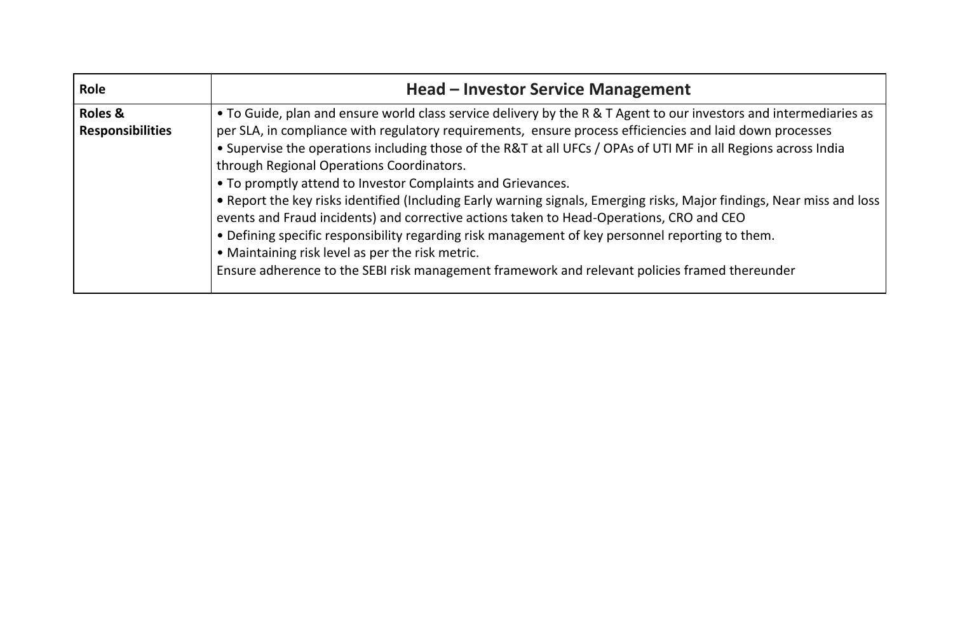| Role                                          | <b>Head – Investor Service Management</b>                                                                                                                                                                                                                                                                                                                                                                                                                                                                                                                                                                                                                                                                                                                                                                                                                                                                                                    |
|-----------------------------------------------|----------------------------------------------------------------------------------------------------------------------------------------------------------------------------------------------------------------------------------------------------------------------------------------------------------------------------------------------------------------------------------------------------------------------------------------------------------------------------------------------------------------------------------------------------------------------------------------------------------------------------------------------------------------------------------------------------------------------------------------------------------------------------------------------------------------------------------------------------------------------------------------------------------------------------------------------|
| <b>Roles &amp;</b><br><b>Responsibilities</b> | • To Guide, plan and ensure world class service delivery by the R & T Agent to our investors and intermediaries as<br>per SLA, in compliance with regulatory requirements, ensure process efficiencies and laid down processes<br>• Supervise the operations including those of the R&T at all UFCs / OPAs of UTI MF in all Regions across India<br>through Regional Operations Coordinators.<br>• To promptly attend to Investor Complaints and Grievances.<br>. Report the key risks identified (Including Early warning signals, Emerging risks, Major findings, Near miss and loss<br>events and Fraud incidents) and corrective actions taken to Head-Operations, CRO and CEO<br>. Defining specific responsibility regarding risk management of key personnel reporting to them.<br>• Maintaining risk level as per the risk metric.<br>Ensure adherence to the SEBI risk management framework and relevant policies framed thereunder |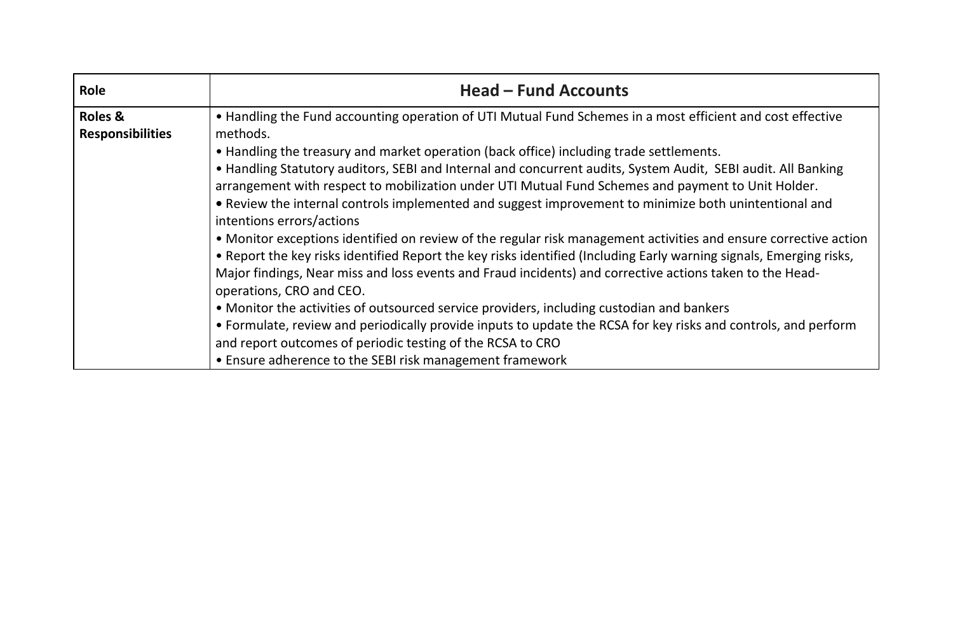| Role                    | <b>Head - Fund Accounts</b>                                                                                         |
|-------------------------|---------------------------------------------------------------------------------------------------------------------|
| <b>Roles &amp;</b>      | • Handling the Fund accounting operation of UTI Mutual Fund Schemes in a most efficient and cost effective          |
| <b>Responsibilities</b> | methods.                                                                                                            |
|                         | • Handling the treasury and market operation (back office) including trade settlements.                             |
|                         | • Handling Statutory auditors, SEBI and Internal and concurrent audits, System Audit, SEBI audit. All Banking       |
|                         | arrangement with respect to mobilization under UTI Mutual Fund Schemes and payment to Unit Holder.                  |
|                         | • Review the internal controls implemented and suggest improvement to minimize both unintentional and               |
|                         | intentions errors/actions                                                                                           |
|                         | • Monitor exceptions identified on review of the regular risk management activities and ensure corrective action    |
|                         | . Report the key risks identified Report the key risks identified (Including Early warning signals, Emerging risks, |
|                         | Major findings, Near miss and loss events and Fraud incidents) and corrective actions taken to the Head-            |
|                         | operations, CRO and CEO.                                                                                            |
|                         | • Monitor the activities of outsourced service providers, including custodian and bankers                           |
|                         | • Formulate, review and periodically provide inputs to update the RCSA for key risks and controls, and perform      |
|                         | and report outcomes of periodic testing of the RCSA to CRO                                                          |
|                         | • Ensure adherence to the SEBI risk management framework                                                            |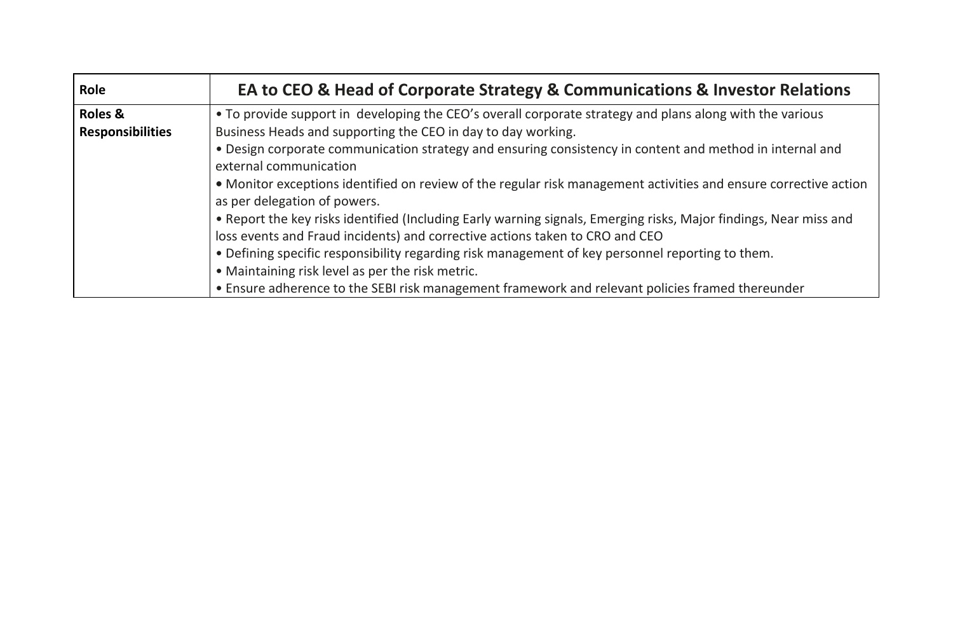| Role                    | EA to CEO & Head of Corporate Strategy & Communications & Investor Relations                                      |
|-------------------------|-------------------------------------------------------------------------------------------------------------------|
| <b>Roles &amp;</b>      | • To provide support in developing the CEO's overall corporate strategy and plans along with the various          |
| <b>Responsibilities</b> | Business Heads and supporting the CEO in day to day working.                                                      |
|                         | • Design corporate communication strategy and ensuring consistency in content and method in internal and          |
|                         | external communication                                                                                            |
|                         | • Monitor exceptions identified on review of the regular risk management activities and ensure corrective action  |
|                         | as per delegation of powers.                                                                                      |
|                         | • Report the key risks identified (Including Early warning signals, Emerging risks, Major findings, Near miss and |
|                         | loss events and Fraud incidents) and corrective actions taken to CRO and CEO                                      |
|                         | . Defining specific responsibility regarding risk management of key personnel reporting to them.                  |
|                         | • Maintaining risk level as per the risk metric.                                                                  |
|                         | • Ensure adherence to the SEBI risk management framework and relevant policies framed thereunder                  |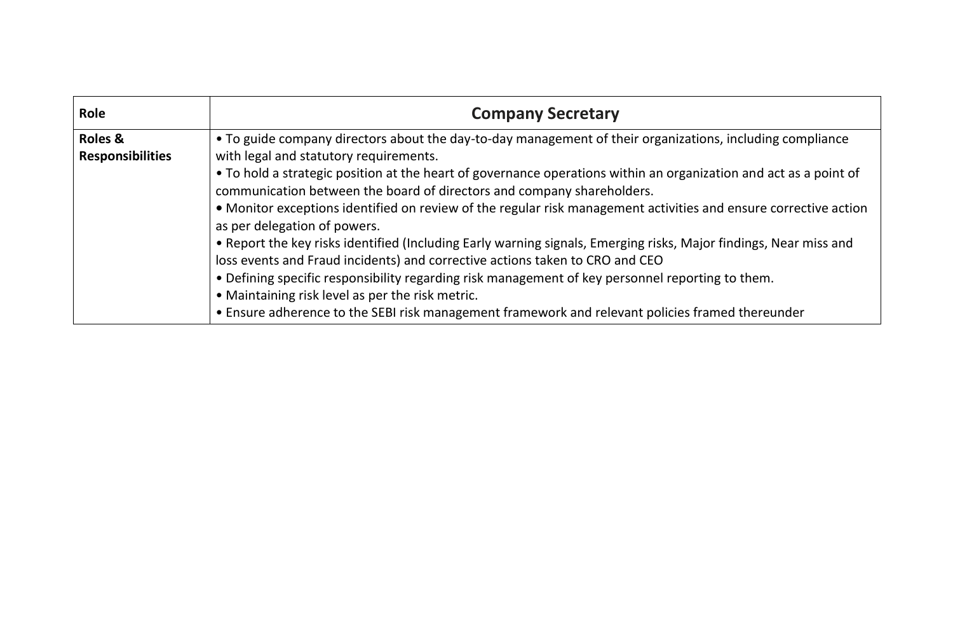| Role                    | <b>Company Secretary</b>                                                                                                                                                                    |
|-------------------------|---------------------------------------------------------------------------------------------------------------------------------------------------------------------------------------------|
| Roles &                 | • To guide company directors about the day-to-day management of their organizations, including compliance                                                                                   |
| <b>Responsibilities</b> | with legal and statutory requirements.                                                                                                                                                      |
|                         | • To hold a strategic position at the heart of governance operations within an organization and act as a point of<br>communication between the board of directors and company shareholders. |
|                         | • Monitor exceptions identified on review of the regular risk management activities and ensure corrective action<br>as per delegation of powers.                                            |
|                         | . Report the key risks identified (Including Early warning signals, Emerging risks, Major findings, Near miss and                                                                           |
|                         | loss events and Fraud incidents) and corrective actions taken to CRO and CEO                                                                                                                |
|                         | . Defining specific responsibility regarding risk management of key personnel reporting to them.                                                                                            |
|                         | • Maintaining risk level as per the risk metric.                                                                                                                                            |
|                         | • Ensure adherence to the SEBI risk management framework and relevant policies framed thereunder                                                                                            |